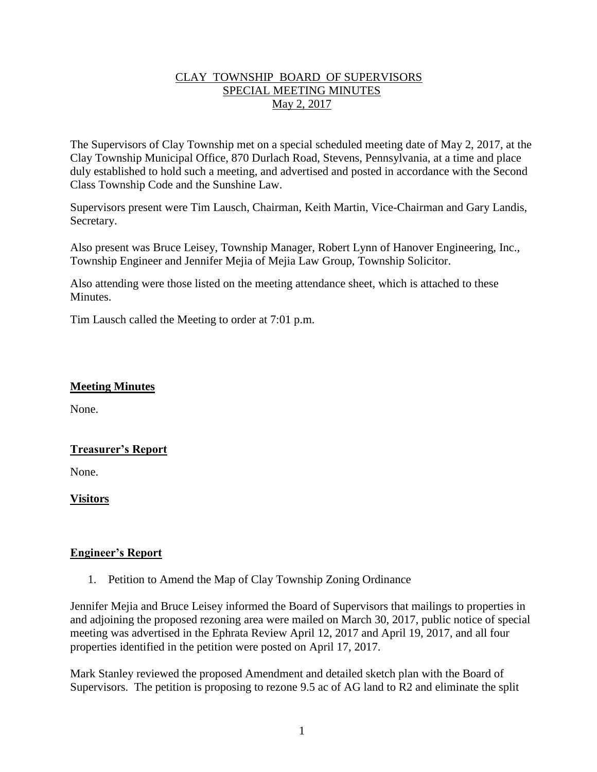## CLAY TOWNSHIP BOARD OF SUPERVISORS SPECIAL MEETING MINUTES May 2, 2017

The Supervisors of Clay Township met on a special scheduled meeting date of May 2, 2017, at the Clay Township Municipal Office, 870 Durlach Road, Stevens, Pennsylvania, at a time and place duly established to hold such a meeting, and advertised and posted in accordance with the Second Class Township Code and the Sunshine Law.

Supervisors present were Tim Lausch, Chairman, Keith Martin, Vice-Chairman and Gary Landis, Secretary.

Also present was Bruce Leisey, Township Manager, Robert Lynn of Hanover Engineering, Inc., Township Engineer and Jennifer Mejia of Mejia Law Group, Township Solicitor.

Also attending were those listed on the meeting attendance sheet, which is attached to these **Minutes** 

Tim Lausch called the Meeting to order at 7:01 p.m.

#### **Meeting Minutes**

None.

## **Treasurer's Report**

None.

**Visitors**

#### **Engineer's Report**

1. Petition to Amend the Map of Clay Township Zoning Ordinance

Jennifer Mejia and Bruce Leisey informed the Board of Supervisors that mailings to properties in and adjoining the proposed rezoning area were mailed on March 30, 2017, public notice of special meeting was advertised in the Ephrata Review April 12, 2017 and April 19, 2017, and all four properties identified in the petition were posted on April 17, 2017.

Mark Stanley reviewed the proposed Amendment and detailed sketch plan with the Board of Supervisors. The petition is proposing to rezone 9.5 ac of AG land to R2 and eliminate the split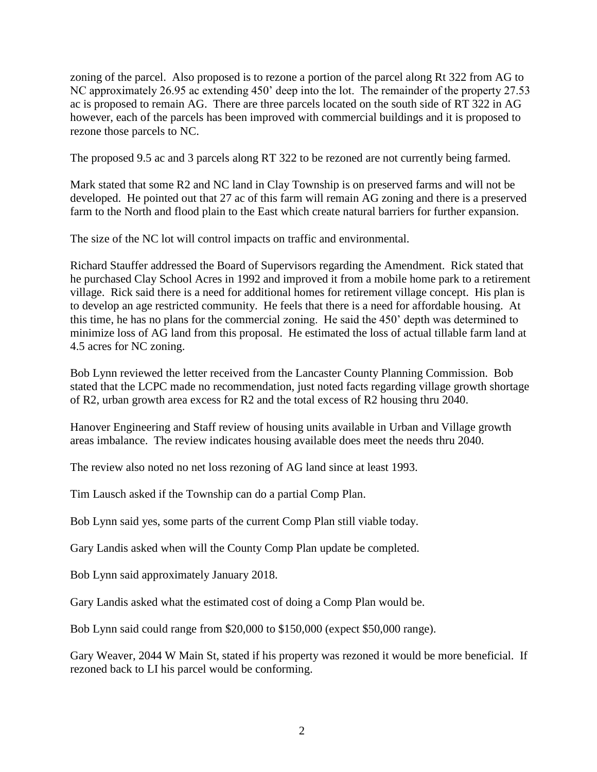zoning of the parcel. Also proposed is to rezone a portion of the parcel along Rt 322 from AG to NC approximately 26.95 ac extending 450' deep into the lot. The remainder of the property 27.53 ac is proposed to remain AG. There are three parcels located on the south side of RT 322 in AG however, each of the parcels has been improved with commercial buildings and it is proposed to rezone those parcels to NC.

The proposed 9.5 ac and 3 parcels along RT 322 to be rezoned are not currently being farmed.

Mark stated that some R2 and NC land in Clay Township is on preserved farms and will not be developed. He pointed out that 27 ac of this farm will remain AG zoning and there is a preserved farm to the North and flood plain to the East which create natural barriers for further expansion.

The size of the NC lot will control impacts on traffic and environmental.

Richard Stauffer addressed the Board of Supervisors regarding the Amendment. Rick stated that he purchased Clay School Acres in 1992 and improved it from a mobile home park to a retirement village. Rick said there is a need for additional homes for retirement village concept. His plan is to develop an age restricted community. He feels that there is a need for affordable housing. At this time, he has no plans for the commercial zoning. He said the 450' depth was determined to minimize loss of AG land from this proposal. He estimated the loss of actual tillable farm land at 4.5 acres for NC zoning.

Bob Lynn reviewed the letter received from the Lancaster County Planning Commission. Bob stated that the LCPC made no recommendation, just noted facts regarding village growth shortage of R2, urban growth area excess for R2 and the total excess of R2 housing thru 2040.

Hanover Engineering and Staff review of housing units available in Urban and Village growth areas imbalance. The review indicates housing available does meet the needs thru 2040.

The review also noted no net loss rezoning of AG land since at least 1993.

Tim Lausch asked if the Township can do a partial Comp Plan.

Bob Lynn said yes, some parts of the current Comp Plan still viable today.

Gary Landis asked when will the County Comp Plan update be completed.

Bob Lynn said approximately January 2018.

Gary Landis asked what the estimated cost of doing a Comp Plan would be.

Bob Lynn said could range from \$20,000 to \$150,000 (expect \$50,000 range).

Gary Weaver, 2044 W Main St, stated if his property was rezoned it would be more beneficial. If rezoned back to LI his parcel would be conforming.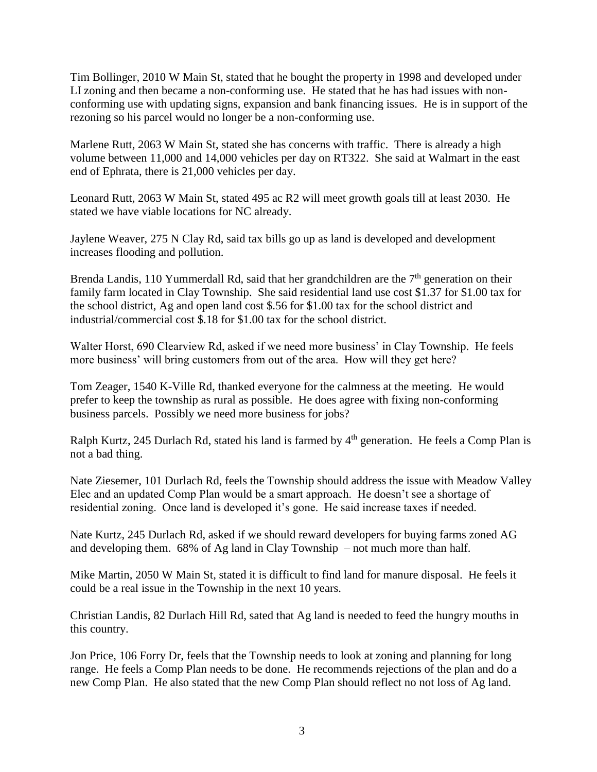Tim Bollinger, 2010 W Main St, stated that he bought the property in 1998 and developed under LI zoning and then became a non-conforming use. He stated that he has had issues with nonconforming use with updating signs, expansion and bank financing issues. He is in support of the rezoning so his parcel would no longer be a non-conforming use.

Marlene Rutt, 2063 W Main St, stated she has concerns with traffic. There is already a high volume between 11,000 and 14,000 vehicles per day on RT322. She said at Walmart in the east end of Ephrata, there is 21,000 vehicles per day.

Leonard Rutt, 2063 W Main St, stated 495 ac R2 will meet growth goals till at least 2030. He stated we have viable locations for NC already.

Jaylene Weaver, 275 N Clay Rd, said tax bills go up as land is developed and development increases flooding and pollution.

Brenda Landis, 110 Yummerdall Rd, said that her grandchildren are the  $7<sup>th</sup>$  generation on their family farm located in Clay Township. She said residential land use cost \$1.37 for \$1.00 tax for the school district, Ag and open land cost \$.56 for \$1.00 tax for the school district and industrial/commercial cost \$.18 for \$1.00 tax for the school district.

Walter Horst, 690 Clearview Rd, asked if we need more business' in Clay Township. He feels more business' will bring customers from out of the area. How will they get here?

Tom Zeager, 1540 K-Ville Rd, thanked everyone for the calmness at the meeting. He would prefer to keep the township as rural as possible. He does agree with fixing non-conforming business parcels. Possibly we need more business for jobs?

Ralph Kurtz, 245 Durlach Rd, stated his land is farmed by 4<sup>th</sup> generation. He feels a Comp Plan is not a bad thing.

Nate Ziesemer, 101 Durlach Rd, feels the Township should address the issue with Meadow Valley Elec and an updated Comp Plan would be a smart approach. He doesn't see a shortage of residential zoning. Once land is developed it's gone. He said increase taxes if needed.

Nate Kurtz, 245 Durlach Rd, asked if we should reward developers for buying farms zoned AG and developing them. 68% of Ag land in Clay Township – not much more than half.

Mike Martin, 2050 W Main St, stated it is difficult to find land for manure disposal. He feels it could be a real issue in the Township in the next 10 years.

Christian Landis, 82 Durlach Hill Rd, sated that Ag land is needed to feed the hungry mouths in this country.

Jon Price, 106 Forry Dr, feels that the Township needs to look at zoning and planning for long range. He feels a Comp Plan needs to be done. He recommends rejections of the plan and do a new Comp Plan. He also stated that the new Comp Plan should reflect no not loss of Ag land.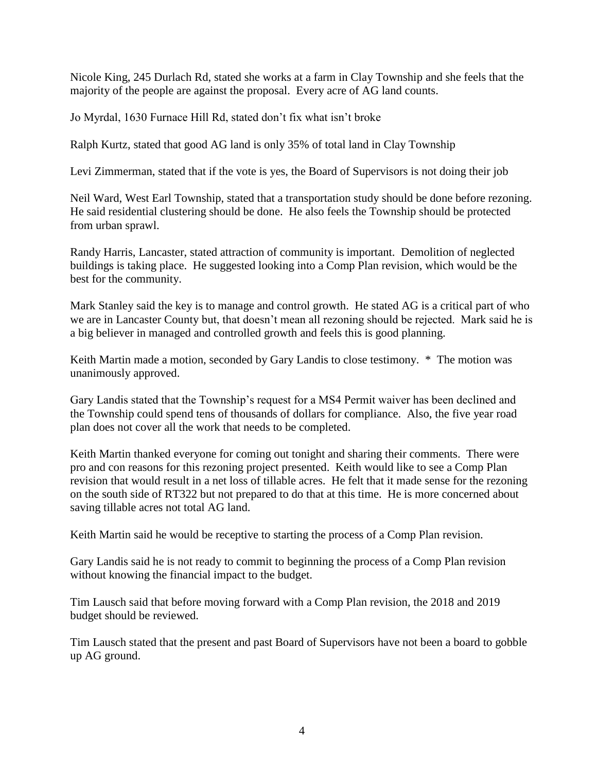Nicole King, 245 Durlach Rd, stated she works at a farm in Clay Township and she feels that the majority of the people are against the proposal. Every acre of AG land counts.

Jo Myrdal, 1630 Furnace Hill Rd, stated don't fix what isn't broke

Ralph Kurtz, stated that good AG land is only 35% of total land in Clay Township

Levi Zimmerman, stated that if the vote is yes, the Board of Supervisors is not doing their job

Neil Ward, West Earl Township, stated that a transportation study should be done before rezoning. He said residential clustering should be done. He also feels the Township should be protected from urban sprawl.

Randy Harris, Lancaster, stated attraction of community is important. Demolition of neglected buildings is taking place. He suggested looking into a Comp Plan revision, which would be the best for the community.

Mark Stanley said the key is to manage and control growth. He stated AG is a critical part of who we are in Lancaster County but, that doesn't mean all rezoning should be rejected. Mark said he is a big believer in managed and controlled growth and feels this is good planning.

Keith Martin made a motion, seconded by Gary Landis to close testimony.  $*$  The motion was unanimously approved.

Gary Landis stated that the Township's request for a MS4 Permit waiver has been declined and the Township could spend tens of thousands of dollars for compliance. Also, the five year road plan does not cover all the work that needs to be completed.

Keith Martin thanked everyone for coming out tonight and sharing their comments. There were pro and con reasons for this rezoning project presented. Keith would like to see a Comp Plan revision that would result in a net loss of tillable acres. He felt that it made sense for the rezoning on the south side of RT322 but not prepared to do that at this time. He is more concerned about saving tillable acres not total AG land.

Keith Martin said he would be receptive to starting the process of a Comp Plan revision.

Gary Landis said he is not ready to commit to beginning the process of a Comp Plan revision without knowing the financial impact to the budget.

Tim Lausch said that before moving forward with a Comp Plan revision, the 2018 and 2019 budget should be reviewed.

Tim Lausch stated that the present and past Board of Supervisors have not been a board to gobble up AG ground.